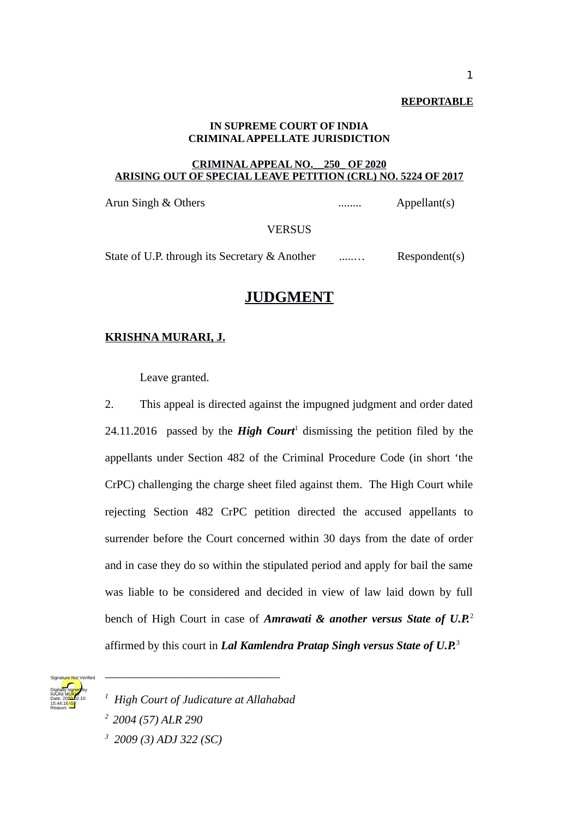**REPORTABLE**

## **IN SUPREME COURT OF INDIA CRIMINAL APPELLATE JURISDICTION**

## **CRIMINAL APPEAL NO.\_\_250\_ OF 2020 ARISING OUT OF SPECIAL LEAVE PETITION (CRL) NO. 5224 OF 2017**

Arun Singh & Others ........ Appellant(s)

**VERSUS** 

State of U.P. through its Secretary & Another ........ Respondent(s)

## **JUDGMENT**

## **KRISHNA MURARI, J.**

Leave granted.

2. This appeal is directed against the impugned judgment and order dated  $24.11.2016$  passed by the **High Court**<sup>1</sup> dismissing the petition filed by the appellants under Section 482 of the Criminal Procedure Code (in short 'the CrPC) challenging the charge sheet filed against them. The High Court while rejecting Section 482 CrPC petition directed the accused appellants to surrender before the Court concerned within 30 days from the date of order and in case they do so within the stipulated period and apply for bail the same was liable to be considered and decided in view of law laid down by full bench of High Court in case of *Amrawati & another versus State of U.P.*<sup>2</sup> affirmed by this court in *Lal Kamlendra Pratap Singh versus State of U.P.*<sup>3</sup>



*<sup>1</sup> High Court of Judicature at Allahabad*

\_\_\_\_\_\_\_\_\_\_\_\_\_\_\_\_\_\_\_\_\_\_\_\_\_\_\_\_\_\_

*<sup>2</sup>2004 (57) ALR 290*

*<sup>3</sup> 2009 (3) ADJ 322 (SC)*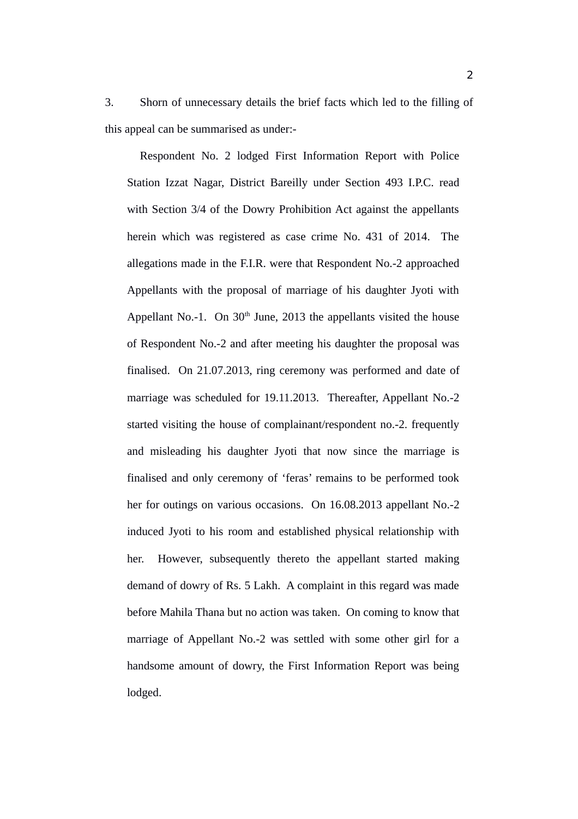3. Shorn of unnecessary details the brief facts which led to the filling of this appeal can be summarised as under:-

Respondent No. 2 lodged First Information Report with Police Station Izzat Nagar, District Bareilly under Section 493 I.P.C. read with Section 3/4 of the Dowry Prohibition Act against the appellants herein which was registered as case crime No. 431 of 2014. The allegations made in the F.I.R. were that Respondent No.-2 approached Appellants with the proposal of marriage of his daughter Jyoti with Appellant No.-1. On  $30<sup>th</sup>$  June, 2013 the appellants visited the house of Respondent No.-2 and after meeting his daughter the proposal was finalised. On 21.07.2013, ring ceremony was performed and date of marriage was scheduled for 19.11.2013. Thereafter, Appellant No.-2 started visiting the house of complainant/respondent no.-2. frequently and misleading his daughter Jyoti that now since the marriage is finalised and only ceremony of 'feras' remains to be performed took her for outings on various occasions. On 16.08.2013 appellant No.-2 induced Jyoti to his room and established physical relationship with her. However, subsequently thereto the appellant started making demand of dowry of Rs. 5 Lakh. A complaint in this regard was made before Mahila Thana but no action was taken. On coming to know that marriage of Appellant No.-2 was settled with some other girl for a handsome amount of dowry, the First Information Report was being lodged.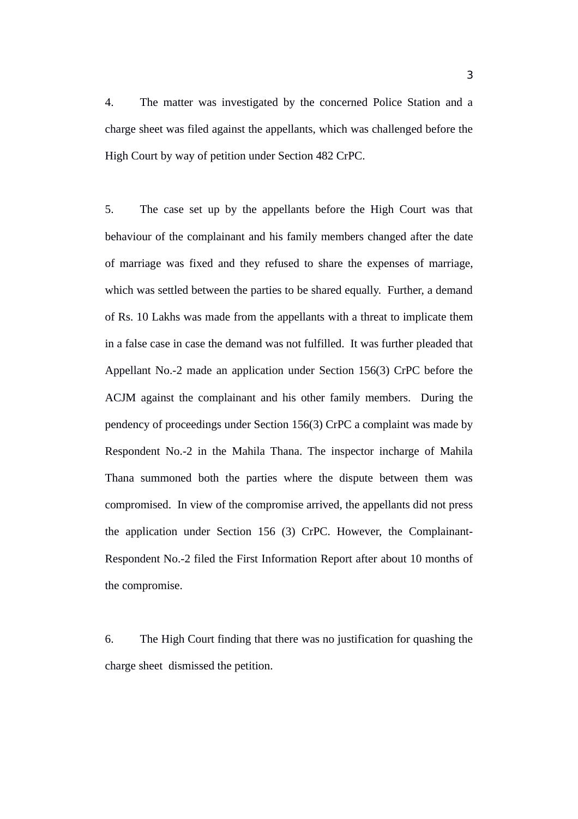4. The matter was investigated by the concerned Police Station and a charge sheet was filed against the appellants, which was challenged before the High Court by way of petition under Section 482 CrPC.

5. The case set up by the appellants before the High Court was that behaviour of the complainant and his family members changed after the date of marriage was fixed and they refused to share the expenses of marriage, which was settled between the parties to be shared equally. Further, a demand of Rs. 10 Lakhs was made from the appellants with a threat to implicate them in a false case in case the demand was not fulfilled. It was further pleaded that Appellant No.-2 made an application under Section 156(3) CrPC before the ACJM against the complainant and his other family members. During the pendency of proceedings under Section 156(3) CrPC a complaint was made by Respondent No.-2 in the Mahila Thana. The inspector incharge of Mahila Thana summoned both the parties where the dispute between them was compromised. In view of the compromise arrived, the appellants did not press the application under Section 156 (3) CrPC. However, the Complainant-Respondent No.-2 filed the First Information Report after about 10 months of the compromise.

6. The High Court finding that there was no justification for quashing the charge sheet dismissed the petition.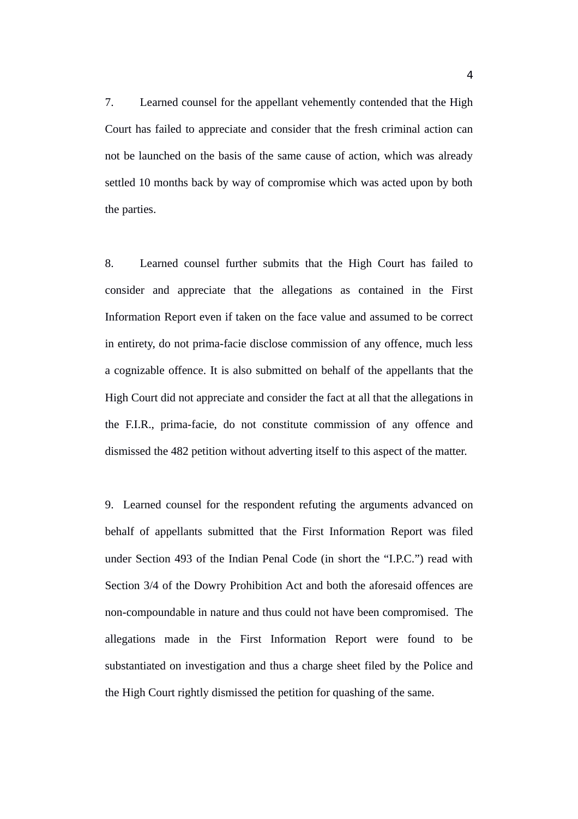7. Learned counsel for the appellant vehemently contended that the High Court has failed to appreciate and consider that the fresh criminal action can not be launched on the basis of the same cause of action, which was already settled 10 months back by way of compromise which was acted upon by both the parties.

8. Learned counsel further submits that the High Court has failed to consider and appreciate that the allegations as contained in the First Information Report even if taken on the face value and assumed to be correct in entirety, do not prima-facie disclose commission of any offence, much less a cognizable offence. It is also submitted on behalf of the appellants that the High Court did not appreciate and consider the fact at all that the allegations in the F.I.R., prima-facie, do not constitute commission of any offence and dismissed the 482 petition without adverting itself to this aspect of the matter.

9. Learned counsel for the respondent refuting the arguments advanced on behalf of appellants submitted that the First Information Report was filed under Section 493 of the Indian Penal Code (in short the "I.P.C.") read with Section 3/4 of the Dowry Prohibition Act and both the aforesaid offences are non-compoundable in nature and thus could not have been compromised. The allegations made in the First Information Report were found to be substantiated on investigation and thus a charge sheet filed by the Police and the High Court rightly dismissed the petition for quashing of the same.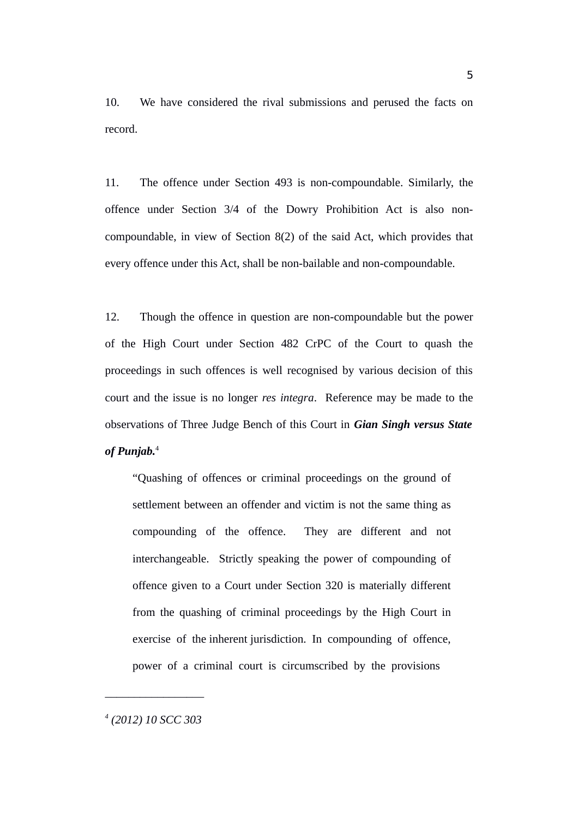10. We have considered the rival submissions and perused the facts on record.

11. The offence under Section 493 is non-compoundable. Similarly, the offence under Section 3/4 of the Dowry Prohibition Act is also noncompoundable, in view of Section 8(2) of the said Act, which provides that every offence under this Act, shall be non-bailable and non-compoundable.

12. Though the offence in question are non-compoundable but the power of the High Court under Section 482 CrPC of the Court to quash the proceedings in such offences is well recognised by various decision of this court and the issue is no longer *res integra*. Reference may be made to the observations of Three Judge Bench of this Court in *Gian Singh versus State of Punjab.*<sup>4</sup>

"Quashing of offences or criminal proceedings on the ground of settlement between an offender and victim is not the same thing as compounding of the offence. They are different and not interchangeable. Strictly speaking the power of compounding of offence given to a Court under Section 320 is materially different from the quashing of criminal proceedings by the High Court in exercise of the inherent jurisdiction. In compounding of offence, power of a criminal court is circumscribed by the provisions

*4 (2012) 10 SCC 303*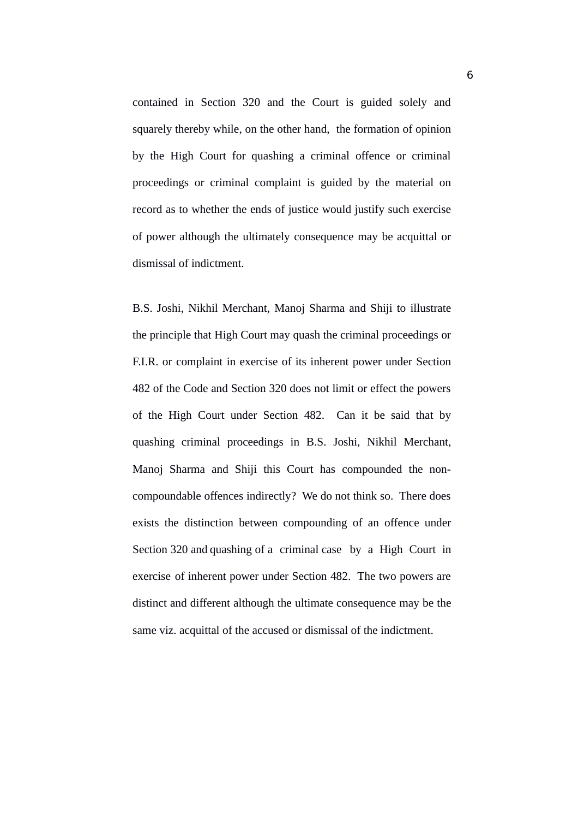contained in Section 320 and the Court is guided solely and squarely thereby while, on the other hand, the formation of opinion by the High Court for quashing a criminal offence or criminal proceedings or criminal complaint is guided by the material on record as to whether the ends of justice would justify such exercise of power although the ultimately consequence may be acquittal or dismissal of indictment.

B.S. Joshi, Nikhil Merchant, Manoj Sharma and Shiji to illustrate the principle that High Court may quash the criminal proceedings or F.I.R. or complaint in exercise of its inherent power under Section 482 of the Code and Section 320 does not limit or effect the powers of the High Court under Section 482. Can it be said that by quashing criminal proceedings in B.S. Joshi, Nikhil Merchant, Manoj Sharma and Shiji this Court has compounded the noncompoundable offences indirectly? We do not think so. There does exists the distinction between compounding of an offence under Section 320 and quashing of a criminal case by a High Court in exercise of inherent power under Section 482. The two powers are distinct and different although the ultimate consequence may be the same viz. acquittal of the accused or dismissal of the indictment.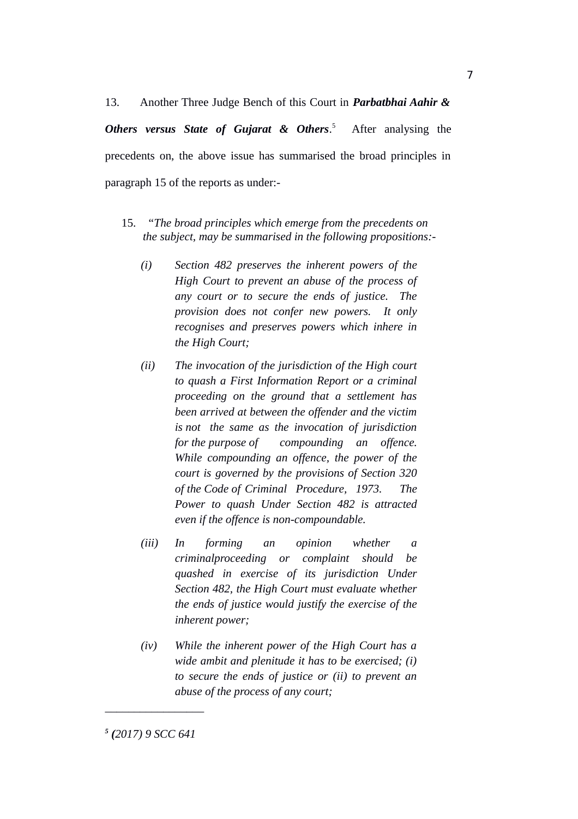13. Another Three Judge Bench of this Court in *Parbatbhai Aahir & Others versus State of Gujarat & Others*. 5 After analysing the precedents on, the above issue has summarised the broad principles in paragraph 15 of the reports as under:-

- 15. "*The broad principles which emerge from the precedents on the subject, may be summarised in the following propositions:-*
	- *(i) Section 482 preserves the inherent powers of the High Court to prevent an abuse of the process of any court or to secure the ends of justice. The provision does not confer new powers. It only recognises and preserves powers which inhere in the High Court;*
	- *(ii) The invocation of the jurisdiction of the High court to quash a First Information Report or a criminal proceeding on the ground that a settlement has been arrived at between the offender and the victim is not the same as the invocation of jurisdiction for the purpose of compounding an offence. While compounding an offence, the power of the court is governed by the provisions of Section 320 of the Code of Criminal Procedure, 1973. The Power to quash Under Section 482 is attracted even if the offence is non-compoundable.*
	- *(iii) In forming an opinion whether a criminalproceeding or complaint should be quashed in exercise of its jurisdiction Under Section 482, the High Court must evaluate whether the ends of justice would justify the exercise of the inherent power;*
	- *(iv) While the inherent power of the High Court has a wide ambit and plenitude it has to be exercised; (i) to secure the ends of justice or (ii) to prevent an abuse of the process of any court;*

*<sup>5</sup> (2017) 9 SCC 641*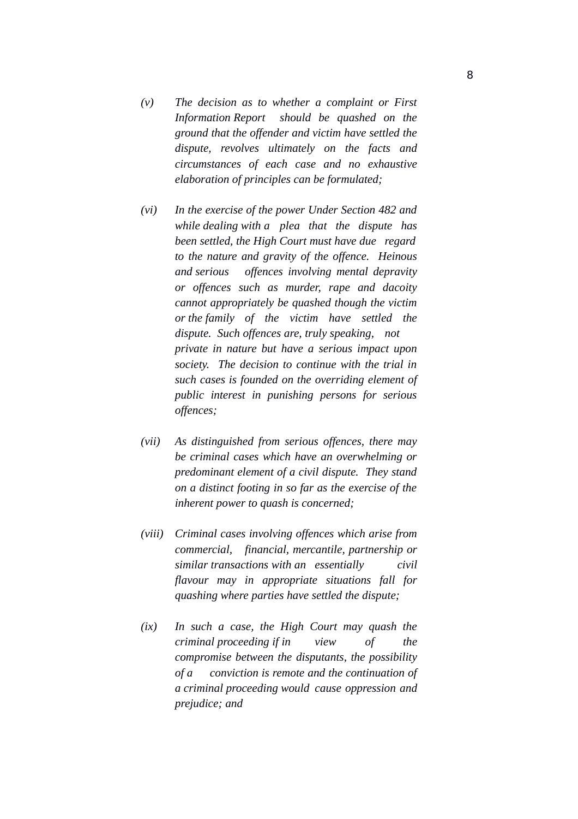- *(v) The decision as to whether a complaint or First Information Report should be quashed on the ground that the offender and victim have settled the dispute, revolves ultimately on the facts and circumstances of each case and no exhaustive elaboration of principles can be formulated;*
- *(vi) In the exercise of the power Under Section 482 and while dealing with a plea that the dispute has been settled, the High Court must have due regard to the nature and gravity of the offence. Heinous and serious offences involving mental depravity or offences such as murder, rape and dacoity cannot appropriately be quashed though the victim or the family of the victim have settled the dispute. Such offences are, truly speaking, not private in nature but have a serious impact upon society. The decision to continue with the trial in such cases is founded on the overriding element of public interest in punishing persons for serious offences;*
- *(vii) As distinguished from serious offences, there may be criminal cases which have an overwhelming or predominant element of a civil dispute. They stand on a distinct footing in so far as the exercise of the inherent power to quash is concerned;*
- *(viii) Criminal cases involving offences which arise from commercial, financial, mercantile, partnership or similar transactions with an essentially civil flavour may in appropriate situations fall for quashing where parties have settled the dispute;*
- *(ix) In such a case, the High Court may quash the criminal proceeding if in view of the compromise between the disputants, the possibility of a conviction is remote and the continuation of a criminal proceeding would cause oppression and prejudice; and*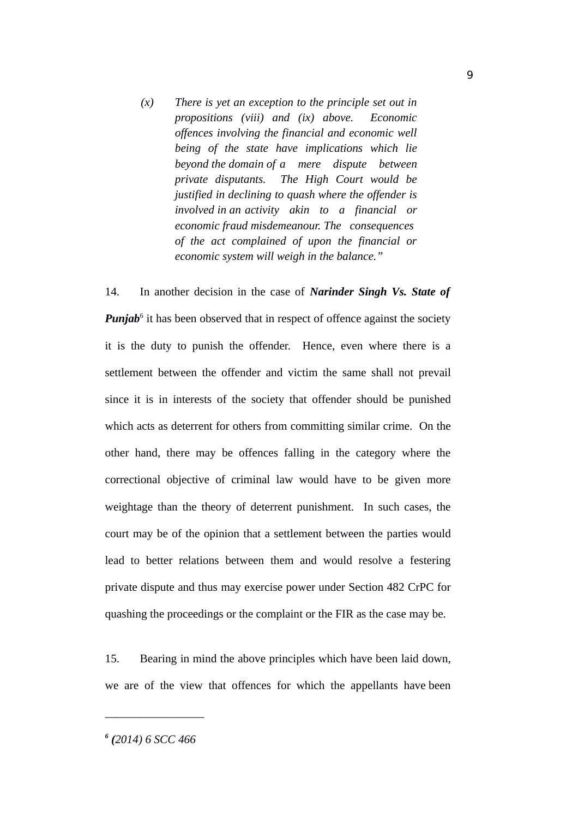*(x) There is yet an exception to the principle set out in propositions (viii) and (ix) above. Economic offences involving the financial and economic well being of the state have implications which lie beyond the domain of a mere dispute between private disputants. The High Court would be justified in declining to quash where the offender is involved in an activity akin to a financial or economic fraud misdemeanour. The consequences of the act complained of upon the financial or economic system will weigh in the balance."*

14. In another decision in the case of *Narinder Singh Vs. State of* Punjab<sup>6</sup> it has been observed that in respect of offence against the society it is the duty to punish the offender. Hence, even where there is a settlement between the offender and victim the same shall not prevail since it is in interests of the society that offender should be punished which acts as deterrent for others from committing similar crime. On the other hand, there may be offences falling in the category where the correctional objective of criminal law would have to be given more weightage than the theory of deterrent punishment. In such cases, the court may be of the opinion that a settlement between the parties would lead to better relations between them and would resolve a festering private dispute and thus may exercise power under Section 482 CrPC for quashing the proceedings or the complaint or the FIR as the case may be.

15. Bearing in mind the above principles which have been laid down, we are of the view that offences for which the appellants have been

*6 (2014) 6 SCC 466*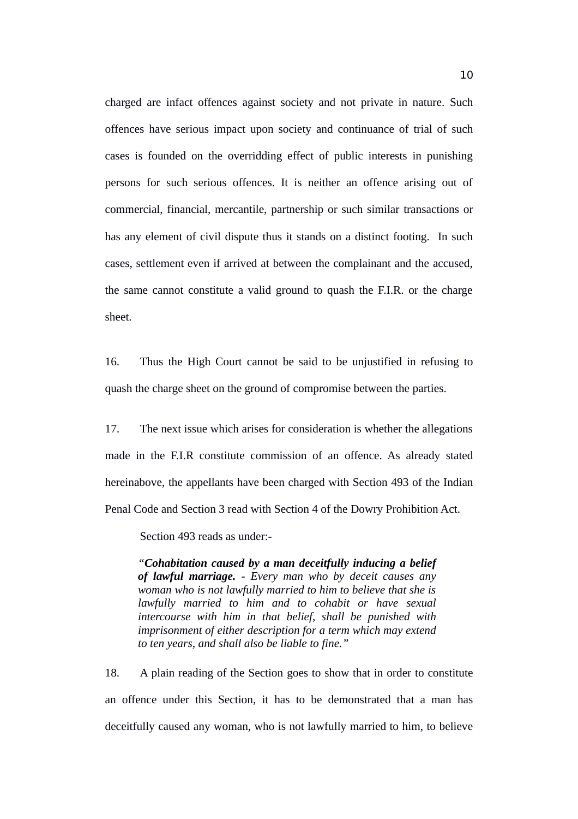charged are infact offences against society and not private in nature. Such offences have serious impact upon society and continuance of trial of such cases is founded on the overridding effect of public interests in punishing persons for such serious offences. It is neither an offence arising out of commercial, financial, mercantile, partnership or such similar transactions or has any element of civil dispute thus it stands on a distinct footing. In such cases, settlement even if arrived at between the complainant and the accused, the same cannot constitute a valid ground to quash the F.I.R. or the charge sheet.

16. Thus the High Court cannot be said to be unjustified in refusing to quash the charge sheet on the ground of compromise between the parties.

17. The next issue which arises for consideration is whether the allegations made in the F.I.R constitute commission of an offence. As already stated hereinabove, the appellants have been charged with Section 493 of the Indian Penal Code and Section 3 read with Section 4 of the Dowry Prohibition Act.

Section 493 reads as under:-

*"Cohabitation caused by a man deceitfully inducing a belief of lawful marriage. - Every man who by deceit causes any woman who is not lawfully married to him to believe that she is lawfully married to him and to cohabit or have sexual intercourse with him in that belief, shall be punished with imprisonment of either description for a term which may extend to ten years, and shall also be liable to fine."*

18. A plain reading of the Section goes to show that in order to constitute an offence under this Section, it has to be demonstrated that a man has deceitfully caused any woman, who is not lawfully married to him, to believe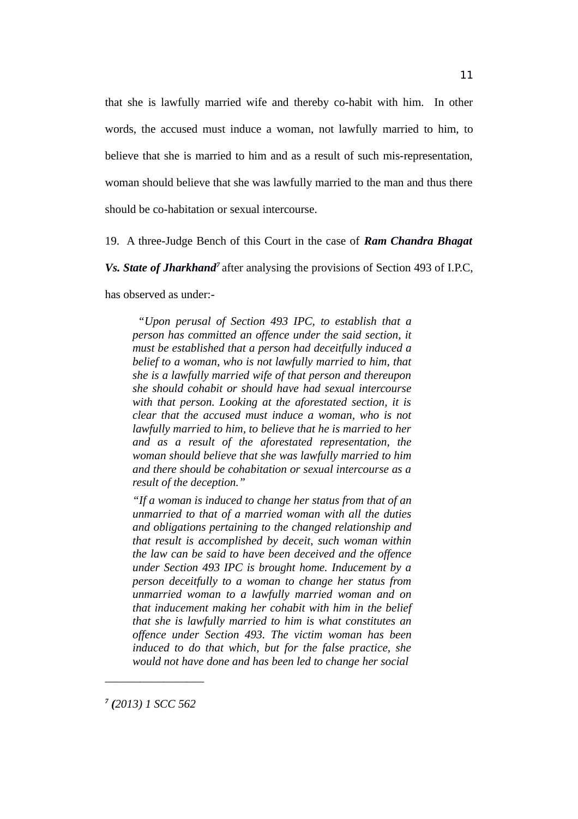that she is lawfully married wife and thereby co-habit with him. In other words, the accused must induce a woman, not lawfully married to him, to believe that she is married to him and as a result of such mis-representation, woman should believe that she was lawfully married to the man and thus there should be co-habitation or sexual intercourse.

19. A three-Judge Bench of this Court in the case of *Ram Chandra Bhagat*

*Vs. State of Jharkhand<sup>7</sup>*after analysing the provisions of Section 493 of I.P.C,

has observed as under:-

*"Upon perusal of Section 493 IPC, to establish that a person has committed an offence under the said section, it must be established that a person had deceitfully induced a belief to a woman, who is not lawfully married to him, that she is a lawfully married wife of that person and thereupon she should cohabit or should have had sexual intercourse with that person. Looking at the aforestated section, it is clear that the accused must induce a woman, who is not lawfully married to him, to believe that he is married to her and as a result of the aforestated representation, the woman should believe that she was lawfully married to him and there should be cohabitation or sexual intercourse as a result of the deception."*

*"If a woman is induced to change her status from that of an unmarried to that of a married woman with all the duties and obligations pertaining to the changed relationship and that result is accomplished by deceit, such woman within the law can be said to have been deceived and the offence under Section 493 IPC is brought home. Inducement by a person deceitfully to a woman to change her status from unmarried woman to a lawfully married woman and on that inducement making her cohabit with him in the belief that she is lawfully married to him is what constitutes an offence under Section 493. The victim woman has been induced to do that which, but for the false practice, she would not have done and has been led to change her social*

*7 (2013) 1 SCC 562*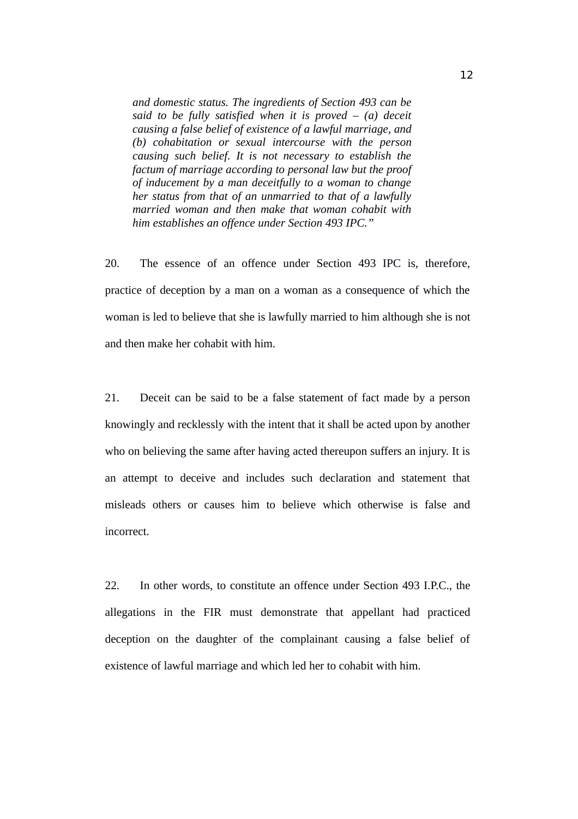*and domestic status. The ingredients of Section 493 can be said to be fully satisfied when it is proved – (a) deceit causing a false belief of existence of a lawful marriage, and (b) cohabitation or sexual intercourse with the person causing such belief. It is not necessary to establish the factum of marriage according to personal law but the proof of inducement by a man deceitfully to a woman to change her status from that of an unmarried to that of a lawfully married woman and then make that woman cohabit with him establishes an offence under Section 493 IPC."* 

20. The essence of an offence under Section 493 IPC is, therefore, practice of deception by a man on a woman as a consequence of which the woman is led to believe that she is lawfully married to him although she is not and then make her cohabit with him.

21. Deceit can be said to be a false statement of fact made by a person knowingly and recklessly with the intent that it shall be acted upon by another who on believing the same after having acted thereupon suffers an injury. It is an attempt to deceive and includes such declaration and statement that misleads others or causes him to believe which otherwise is false and incorrect.

22. In other words, to constitute an offence under Section 493 I.P.C., the allegations in the FIR must demonstrate that appellant had practiced deception on the daughter of the complainant causing a false belief of existence of lawful marriage and which led her to cohabit with him.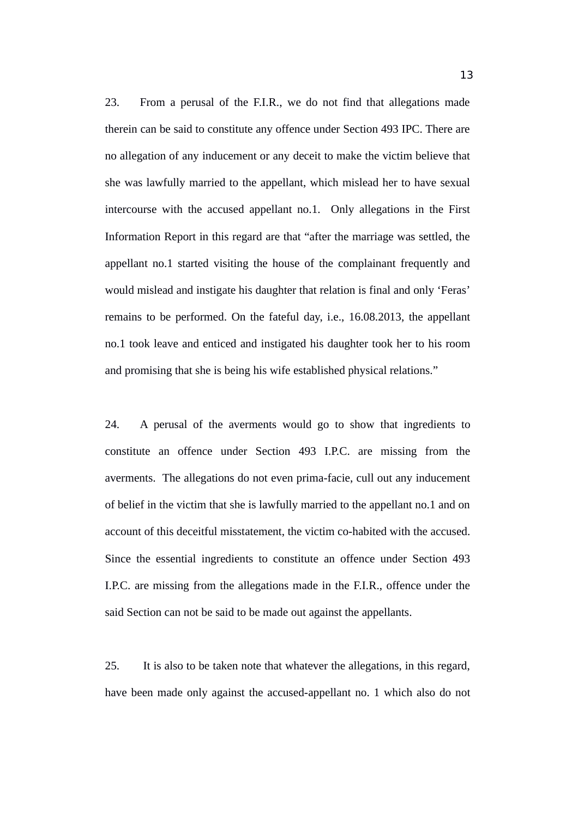23. From a perusal of the F.I.R., we do not find that allegations made therein can be said to constitute any offence under Section 493 IPC. There are no allegation of any inducement or any deceit to make the victim believe that she was lawfully married to the appellant, which mislead her to have sexual intercourse with the accused appellant no.1. Only allegations in the First Information Report in this regard are that "after the marriage was settled, the appellant no.1 started visiting the house of the complainant frequently and would mislead and instigate his daughter that relation is final and only 'Feras' remains to be performed. On the fateful day, i.e., 16.08.2013, the appellant no.1 took leave and enticed and instigated his daughter took her to his room and promising that she is being his wife established physical relations."

24. A perusal of the averments would go to show that ingredients to constitute an offence under Section 493 I.P.C. are missing from the averments. The allegations do not even prima-facie, cull out any inducement of belief in the victim that she is lawfully married to the appellant no.1 and on account of this deceitful misstatement, the victim co-habited with the accused. Since the essential ingredients to constitute an offence under Section 493 I.P.C. are missing from the allegations made in the F.I.R., offence under the said Section can not be said to be made out against the appellants.

25. It is also to be taken note that whatever the allegations, in this regard, have been made only against the accused-appellant no. 1 which also do not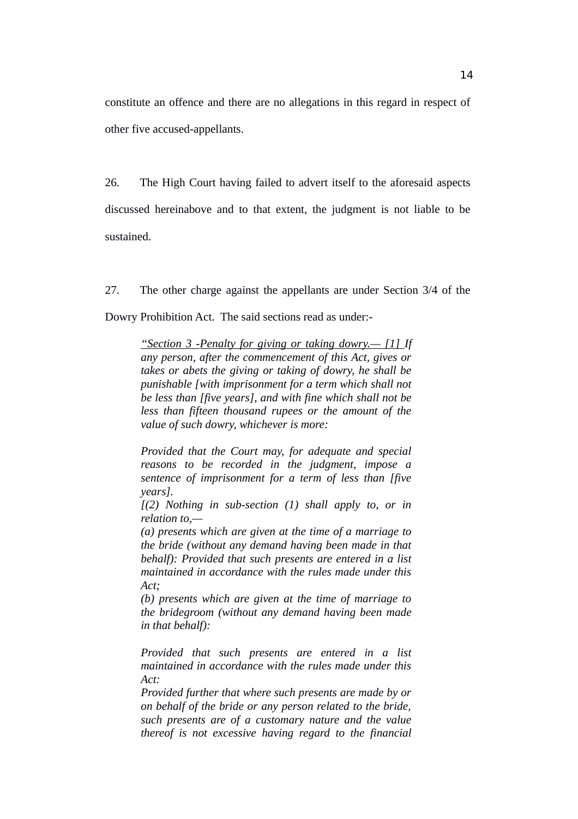constitute an offence and there are no allegations in this regard in respect of other five accused-appellants.

26. The High Court having failed to advert itself to the aforesaid aspects discussed hereinabove and to that extent, the judgment is not liable to be sustained.

27. The other charge against the appellants are under Section 3/4 of the Dowry Prohibition Act. The said sections read as under:-

 *"Section 3 -Penalty for giving or taking dowry.— [1] If any person, after the commencement of this Act, gives or takes or abets the giving or taking of dowry, he shall be punishable [with imprisonment for a term which shall not be less than [five years], and with fine which shall not be less than fifteen thousand rupees or the amount of the value of such dowry, whichever is more:* 

*Provided that the Court may, for adequate and special reasons to be recorded in the judgment, impose a sentence of imprisonment for a term of less than [five years].*

*[(2) Nothing in sub-section (1) shall apply to, or in relation to,—* 

*(a) presents which are given at the time of a marriage to the bride (without any demand having been made in that behalf): Provided that such presents are entered in a list maintained in accordance with the rules made under this Act;*

*(b) presents which are given at the time of marriage to the bridegroom (without any demand having been made in that behalf):*

*Provided that such presents are entered in a list maintained in accordance with the rules made under this Act:*

*Provided further that where such presents are made by or on behalf of the bride or any person related to the bride, such presents are of a customary nature and the value thereof is not excessive having regard to the financial*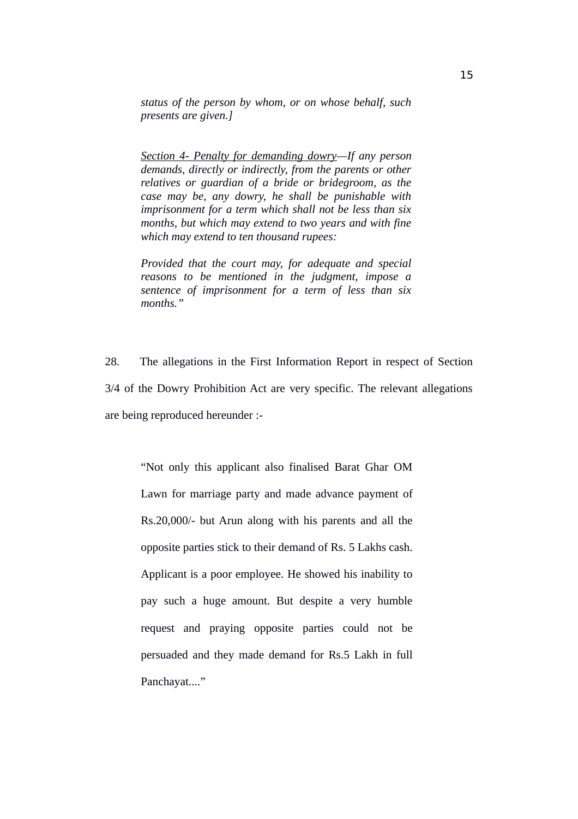*status of the person by whom, or on whose behalf, such presents are given.]*

*Section 4- Penalty for demanding dowry—If any person demands, directly or indirectly, from the parents or other relatives or guardian of a bride or bridegroom, as the case may be, any dowry, he shall be punishable with imprisonment for a term which shall not be less than six months, but which may extend to two years and with fine which may extend to ten thousand rupees:*

*Provided that the court may, for adequate and special reasons to be mentioned in the judgment, impose a sentence of imprisonment for a term of less than six months."*

28. The allegations in the First Information Report in respect of Section 3/4 of the Dowry Prohibition Act are very specific. The relevant allegations are being reproduced hereunder :-

"Not only this applicant also finalised Barat Ghar OM Lawn for marriage party and made advance payment of Rs.20,000/- but Arun along with his parents and all the opposite parties stick to their demand of Rs. 5 Lakhs cash. Applicant is a poor employee. He showed his inability to pay such a huge amount. But despite a very humble request and praying opposite parties could not be persuaded and they made demand for Rs.5 Lakh in full Panchayat...."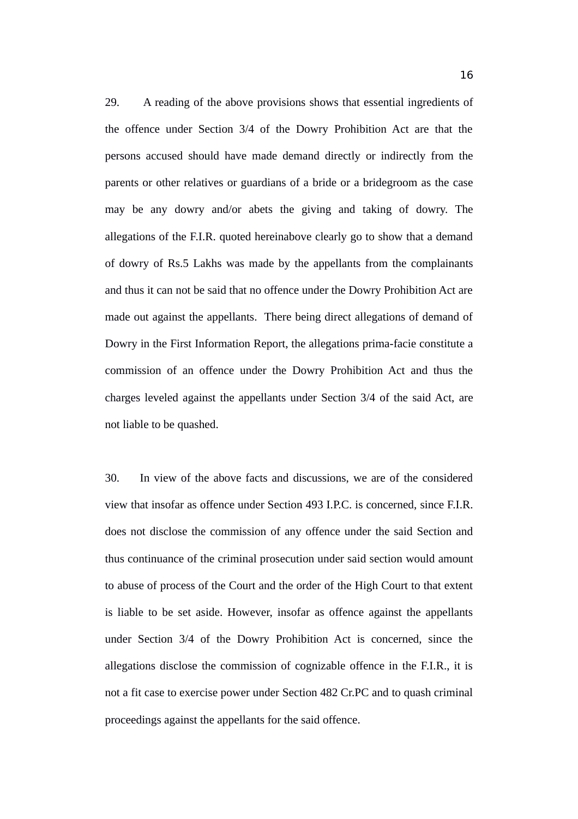29. A reading of the above provisions shows that essential ingredients of the offence under Section 3/4 of the Dowry Prohibition Act are that the persons accused should have made demand directly or indirectly from the parents or other relatives or guardians of a bride or a bridegroom as the case may be any dowry and/or abets the giving and taking of dowry. The allegations of the F.I.R. quoted hereinabove clearly go to show that a demand of dowry of Rs.5 Lakhs was made by the appellants from the complainants and thus it can not be said that no offence under the Dowry Prohibition Act are made out against the appellants. There being direct allegations of demand of Dowry in the First Information Report, the allegations prima-facie constitute a commission of an offence under the Dowry Prohibition Act and thus the charges leveled against the appellants under Section 3/4 of the said Act, are not liable to be quashed.

30. In view of the above facts and discussions, we are of the considered view that insofar as offence under Section 493 I.P.C. is concerned, since F.I.R. does not disclose the commission of any offence under the said Section and thus continuance of the criminal prosecution under said section would amount to abuse of process of the Court and the order of the High Court to that extent is liable to be set aside. However, insofar as offence against the appellants under Section 3/4 of the Dowry Prohibition Act is concerned, since the allegations disclose the commission of cognizable offence in the F.I.R., it is not a fit case to exercise power under Section 482 Cr.PC and to quash criminal proceedings against the appellants for the said offence.